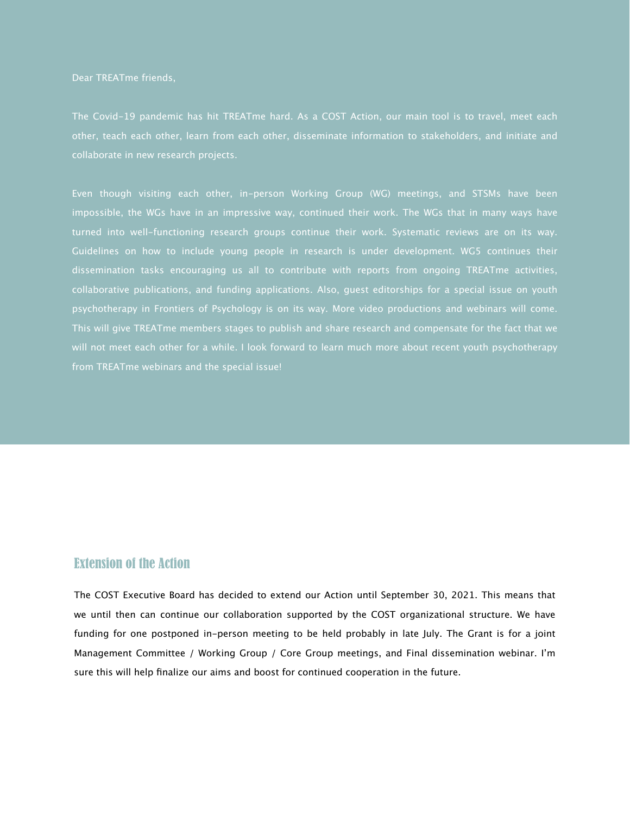Dear TREATme friends,

The Covid-19 pandemic has hit TREATme hard. As a COST Action, our main tool is to travel, meet each collaborate in new research projects.

Even though visiting each other, in-person Working Group (WG) meetings, and STSMs have been impossible, the WGs have in an impressive way, continued their work. The WGs that in many ways have turned into well-functioning research groups continue their work. Systematic reviews are on its way. Guidelines on how to include young people in research is under development. WG5 continues their dissemination tasks encouraging us all to contribute with reports from ongoing TREATme activities, collaborative publications, and funding applications. Also, guest editorships for a special issue on youth psychotherapy in Frontiers of Psychology is on its way. More video productions and webinars will come. This will give TREATme members stages to publish and share research and compensate for the fact that we will not meet each other for a while. I look forward to learn much more about recent youth psychotherapy from TREATme webinars and the special issue!

## Extension of the Action

The COST Executive Board has decided to extend our Action until September 30, 2021. This means that we until then can continue our collaboration supported by the COST organizational structure. We have funding for one postponed in-person meeting to be held probably in late July. The Grant is for a joint Management Committee / Working Group / Core Group meetings, and Final dissemination webinar. I'm sure this will help finalize our aims and boost for continued cooperation in the future.